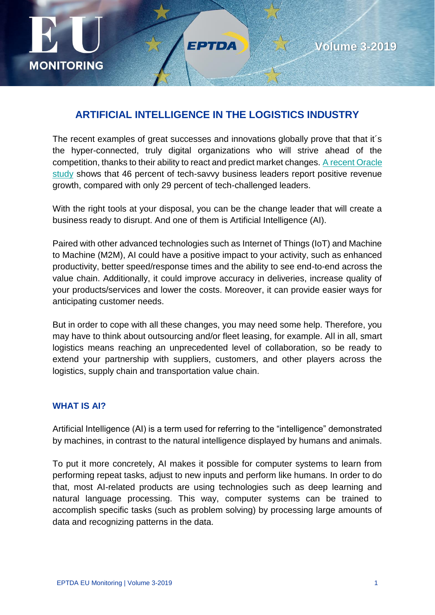

## **ARTIFICIAL INTELLIGENCE IN THE LOGISTICS INDUSTRY**

FPTDA

The recent examples of great successes and innovations globally prove that that it´s the hyper-connected, truly digital organizations who will strive ahead of the competition, thanks to their ability to react and predict market changes[. A recent Oracle](https://na01.safelinks.protection.outlook.com/?url=https%3A%2F%2Fgo.oracle.com%2FLP%3D79114%3FelqCampaignId%3D169045&data=02%7C01%7CColette.Sharbaugh%40aicpa-cima.com%7C36269666cb6845e2daa808d67a250fa5%7Cab44e261e3294327bbdd17a5478226a1%7C1%7C0%7C636830696937461140&sdata=XdsXeCEAwwDZO7vE9xeMZESC4UHoUO%2FU44PFuRxBuF0%3D&reserved=0)  [study](https://na01.safelinks.protection.outlook.com/?url=https%3A%2F%2Fgo.oracle.com%2FLP%3D79114%3FelqCampaignId%3D169045&data=02%7C01%7CColette.Sharbaugh%40aicpa-cima.com%7C36269666cb6845e2daa808d67a250fa5%7Cab44e261e3294327bbdd17a5478226a1%7C1%7C0%7C636830696937461140&sdata=XdsXeCEAwwDZO7vE9xeMZESC4UHoUO%2FU44PFuRxBuF0%3D&reserved=0) shows that 46 percent of tech-savvy business leaders report positive revenue growth, compared with only 29 percent of tech-challenged leaders.

With the right tools at your disposal, you can be the change leader that will create a business ready to disrupt. And one of them is Artificial Intelligence (AI).

Paired with other advanced technologies such as Internet of Things (IoT) and Machine to Machine (M2M), AI could have a positive impact to your activity, such as enhanced productivity, better speed/response times and the ability to see end-to-end across the value chain. Additionally, it could improve accuracy in deliveries, increase quality of your products/services and lower the costs. Moreover, it can provide easier ways for anticipating customer needs.

But in order to cope with all these changes, you may need some help. Therefore, you may have to think about outsourcing and/or fleet leasing, for example. All in all, smart logistics means reaching an unprecedented level of collaboration, so be ready to extend your partnership with suppliers, customers, and other players across the logistics, supply chain and transportation value chain.

## **WHAT IS AI?**

Artificial Intelligence (AI) is a term used for referring to the "intelligence" demonstrated by machines, in contrast to the natural intelligence displayed by humans and animals.

To put it more concretely, AI makes it possible for computer systems to learn from performing repeat tasks, adjust to new inputs and perform like humans. In order to do that, most AI-related products are using technologies such as deep learning and natural language processing. This way, computer systems can be trained to accomplish specific tasks (such as problem solving) by processing large amounts of data and recognizing patterns in the data.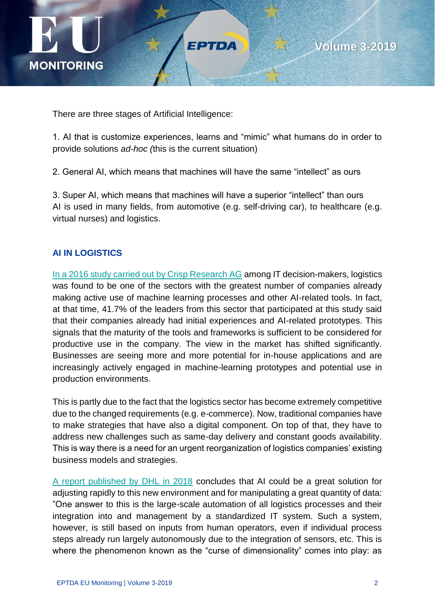



There are three stages of Artificial Intelligence:

1. AI that is customize experiences, learns and "mimic" what humans do in order to provide solutions *ad-hoc (*this is the current situation)

FPTDA

2. General AI, which means that machines will have the same "intellect" as ours

3. Super AI, which means that machines will have a superior "intellect" than ours AI is used in many fields, from automotive (e.g. self-driving car), to healthcare (e.g. virtual nurses) and logistics.

#### **AI IN LOGISTICS**

In a 2016 study carried out by Crisp Research AG among IT decision-makers, logistics was found to be one of the sectors with the greatest number of companies already making active use of machine learning processes and other AI-related tools. In fact, at that time, 41.7% of the leaders from this sector that participated at this study said that their companies already had initial experiences and AI-related prototypes. This signals that the maturity of the tools and frameworks is sufficient to be considered for productive use in the company. The view in the market has shifted significantly. Businesses are seeing more and more potential for in-house applications and are increasingly actively engaged in machine-learning prototypes and potential use in production environments.

This is partly due to the fact that the logistics sector has become extremely competitive due to the changed requirements (e.g. e-commerce). Now, traditional companies have to make strategies that have also a digital component. On top of that, they have to address new challenges such as same-day delivery and constant goods availability. This is way there is a need for an urgent reorganization of logistics companies' existing business models and strategies.

[A report published by DHL in 2018](https://www.logistics.dhl/content/dam/dhl/global/core/documents/pdf/glo-ai-in-logistics-white-paper.pdf) concludes that AI could be a great solution for adjusting rapidly to this new environment and for manipulating a great quantity of data: "One answer to this is the large-scale automation of all logistics processes and their integration into and management by a standardized IT system. Such a system, however, is still based on inputs from human operators, even if individual process steps already run largely autonomously due to the integration of sensors, etc. This is where the phenomenon known as the "curse of dimensionality" comes into play: as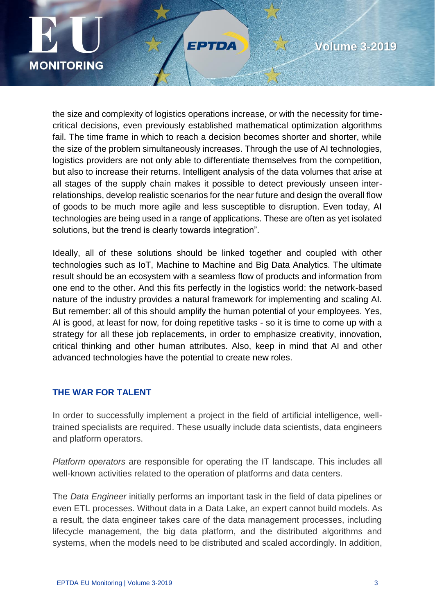

the size and complexity of logistics operations increase, or with the necessity for timecritical decisions, even previously established mathematical optimization algorithms fail. The time frame in which to reach a decision becomes shorter and shorter, while the size of the problem simultaneously increases. Through the use of AI technologies, logistics providers are not only able to differentiate themselves from the competition, but also to increase their returns. Intelligent analysis of the data volumes that arise at all stages of the supply chain makes it possible to detect previously unseen interrelationships, develop realistic scenarios for the near future and design the overall flow of goods to be much more agile and less susceptible to disruption. Even today, AI technologies are being used in a range of applications. These are often as yet isolated solutions, but the trend is clearly towards integration".

EPTDA

Ideally, all of these solutions should be linked together and coupled with other technologies such as IoT, Machine to Machine and Big Data Analytics. The ultimate result should be an ecosystem with a seamless flow of products and information from one end to the other. And this fits perfectly in the logistics world: the network-based nature of the industry provides a natural framework for implementing and scaling AI. But remember: all of this should amplify the human potential of your employees. Yes, AI is good, at least for now, for doing repetitive tasks - so it is time to come up with a strategy for all these job replacements, in order to emphasize creativity, innovation, critical thinking and other human attributes. Also, keep in mind that AI and other advanced technologies have the potential to create new roles.

## **THE WAR FOR TALENT**

In order to successfully implement a project in the field of artificial intelligence, welltrained specialists are required. These usually include data scientists, data engineers and platform operators.

*Platform operators* are responsible for operating the IT landscape. This includes all well-known activities related to the operation of platforms and data centers.

The *Data Engineer* initially performs an important task in the field of data pipelines or even ETL processes. Without data in a Data Lake, an expert cannot build models. As a result, the data engineer takes care of the data management processes, including lifecycle management, the big data platform, and the distributed algorithms and systems, when the models need to be distributed and scaled accordingly. In addition,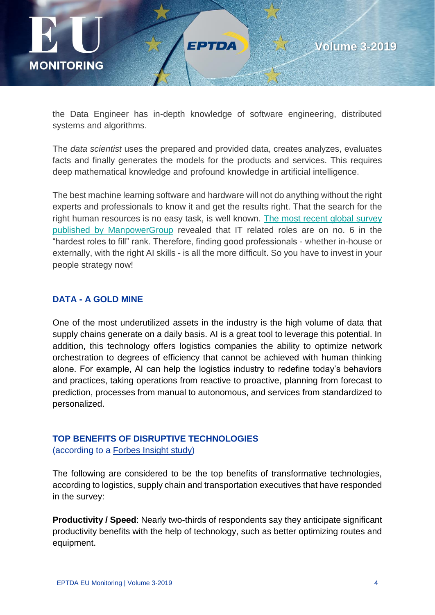

the Data Engineer has in-depth knowledge of software engineering, distributed systems and algorithms.

ЕРТОА

The *data scientist* uses the prepared and provided data, creates analyzes, evaluates facts and finally generates the models for the products and services. This requires deep mathematical knowledge and profound knowledge in artificial intelligence.

The best machine learning software and hardware will not do anything without the right experts and professionals to know it and get the results right. That the search for the right human resources is no easy task, is well known. [The most recent global survey](https://go.manpowergroup.com/talent-shortage-2018#driversofshortage)  [published by ManpowerGroup](https://go.manpowergroup.com/talent-shortage-2018#driversofshortage) revealed that IT related roles are on no. 6 in the "hardest roles to fill" rank. Therefore, finding good professionals - whether in-house or externally, with the right AI skills - is all the more difficult. So you have to invest in your people strategy now!

#### **DATA - A GOLD MINE**

One of the most underutilized assets in the industry is the high volume of data that supply chains generate on a daily basis. AI is a great tool to leverage this potential. In addition, this technology offers logistics companies the ability to optimize network orchestration to degrees of efficiency that cannot be achieved with human thinking alone. For example, AI can help the logistics industry to redefine today's behaviors and practices, taking operations from reactive to proactive, planning from forecast to prediction, processes from manual to autonomous, and services from standardized to personalized.

#### **TOP BENEFITS OF DISRUPTIVE TECHNOLOGIES**

(according to a [Forbes Insight study\)](http://info.forbes.com/rs/790-SNV-353/images/Penske_REPORT-FINAL-DIGITAL.pdf)

The following are considered to be the top benefits of transformative technologies, according to logistics, supply chain and transportation executives that have responded in the survey:

**Productivity / Speed**: Nearly two-thirds of respondents say they anticipate significant productivity benefits with the help of technology, such as better optimizing routes and equipment.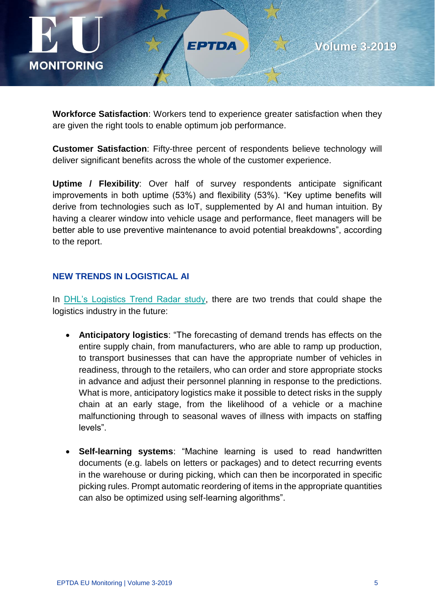

**Workforce Satisfaction**: Workers tend to experience greater satisfaction when they are given the right tools to enable optimum job performance.

FPTDA

**Customer Satisfaction**: Fifty-three percent of respondents believe technology will deliver significant benefits across the whole of the customer experience.

**Uptime / Flexibility**: Over half of survey respondents anticipate significant improvements in both uptime (53%) and flexibility (53%). "Key uptime benefits will derive from technologies such as IoT, supplemented by AI and human intuition. By having a clearer window into vehicle usage and performance, fleet managers will be better able to use preventive maintenance to avoid potential breakdowns", according to the report.

## **NEW TRENDS IN LOGISTICAL AI**

In [DHL's Logistics Trend Radar study,](https://www.logistics.dhl/content/dam/dhl/global/core/documents/pdf/glo-ai-in-logistics-white-paper.pdf) there are two trends that could shape the logistics industry in the future:

- **Anticipatory logistics**: "The forecasting of demand trends has effects on the entire supply chain, from manufacturers, who are able to ramp up production, to transport businesses that can have the appropriate number of vehicles in readiness, through to the retailers, who can order and store appropriate stocks in advance and adjust their personnel planning in response to the predictions. What is more, anticipatory logistics make it possible to detect risks in the supply chain at an early stage, from the likelihood of a vehicle or a machine malfunctioning through to seasonal waves of illness with impacts on staffing levels".
- **Self-learning systems**: "Machine learning is used to read handwritten documents (e.g. labels on letters or packages) and to detect recurring events in the warehouse or during picking, which can then be incorporated in specific picking rules. Prompt automatic reordering of items in the appropriate quantities can also be optimized using self-learning algorithms".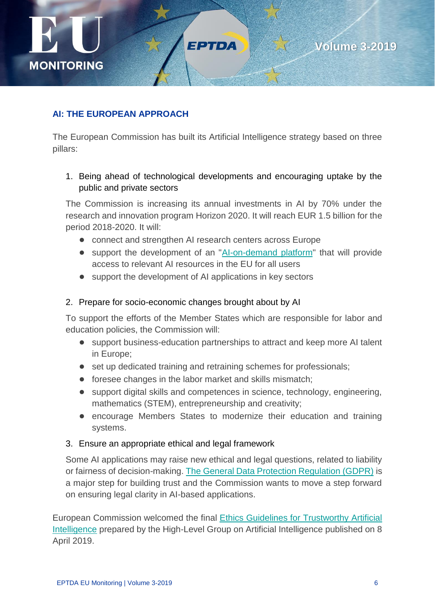

# **Volume 3-2019**

## **AI: THE EUROPEAN APPROACH**

The European Commission has built its Artificial Intelligence strategy based on three pillars:

FPTDA

## 1. Being ahead of technological developments and encouraging uptake by the public and private sectors

The Commission is increasing its annual investments in AI by 70% under the research and innovation program Horizon 2020. It will reach EUR 1.5 billion for the period 2018-2020. It will:

- connect and strengthen AI research centers across Europe
- support the development of an ["AI-on-demand platform"](http://ai4eu.org/) that will provide access to relevant AI resources in the EU for all users
- support the development of AI applications in key sectors

#### 2. Prepare for socio-economic changes brought about by AI

To support the efforts of the Member States which are responsible for labor and education policies, the Commission will:

- support business-education partnerships to attract and keep more AI talent in Europe;
- set up dedicated training and retraining schemes for professionals;
- foresee changes in the labor market and skills mismatch;
- support digital skills and competences in science, technology, engineering, mathematics (STEM), entrepreneurship and creativity;
- encourage Members States to modernize their education and training systems.

#### 3. Ensure an appropriate ethical and legal framework

Some AI applications may raise new ethical and legal questions, related to liability or fairness of decision-making. [The General Data Protection Regulation \(GDPR\)](https://ec.europa.eu/info/files/regulation-eu-2016-679-protection-natural-persons-regard-processing-personal-data-and-free-movement-such-data_en) is a major step for building trust and the Commission wants to move a step forward on ensuring legal clarity in AI-based applications.

European Commission welcomed the final [Ethics Guidelines for Trustworthy Artificial](https://ec.europa.eu/futurium/en/ai-alliance-consultation/guidelines#Top)  [Intelligence](https://ec.europa.eu/futurium/en/ai-alliance-consultation/guidelines#Top) prepared by the High-Level Group on Artificial Intelligence published on 8 April 2019.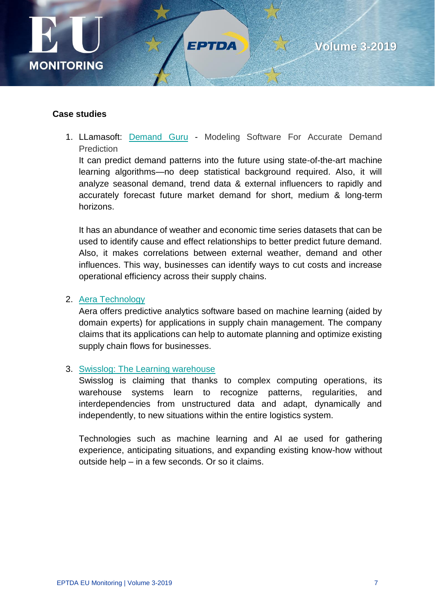

#### **Case studies**

1. LLamasoft: [Demand Guru](https://www.llamasoft.com/products/design/demand-guru/) - Modeling Software For Accurate Demand **Prediction** 

FPTDA

It can predict demand patterns into the future using state-of-the-art machine learning algorithms—no deep statistical background required. Also, it will analyze seasonal demand, trend data & external influencers to rapidly and accurately forecast future market demand for short, medium & long-term horizons.

It has an abundance of weather and economic time series datasets that can be used to identify cause and effect relationships to better predict future demand. Also, it makes correlations between external weather, demand and other influences. This way, businesses can identify ways to cut costs and increase operational efficiency across their supply chains.

#### 2. [Aera Technology](https://www.aeratechnology.com/technology)

Aera offers predictive analytics software based on machine learning (aided by domain experts) for applications in supply chain management. The company claims that its applications can help to automate planning and optimize existing supply chain flows for businesses.

#### 3. [Swisslog: The Learning warehouse](https://www.swisslog.com/en-us/warehouse-logistics-distribution-center-automation/industry-4,-d-,0-logistics/artificial-intelligence-ai-machine-learning-warehouse)

Swisslog is claiming that thanks to complex computing operations, its warehouse systems learn to recognize patterns, regularities, and interdependencies from unstructured data and adapt, dynamically and independently, to new situations within the entire logistics system.

Technologies such as machine learning and AI ae used for gathering experience, anticipating situations, and expanding existing know-how without outside help – in a few seconds. Or so it claims.